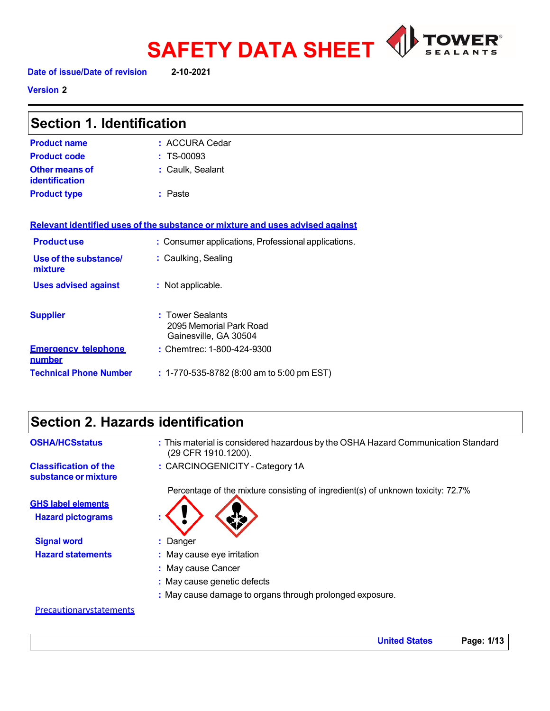

**Version 2** 

| <b>Section 1. Identification</b>     |                                                                               |
|--------------------------------------|-------------------------------------------------------------------------------|
| <b>Product name</b>                  | : ACCURA Cedar                                                                |
| <b>Product code</b>                  | $: TS-00093$                                                                  |
| Other means of<br>identification     | : Caulk, Sealant                                                              |
| <b>Product type</b>                  | : Paste                                                                       |
|                                      | Relevant identified uses of the substance or mixture and uses advised against |
| <b>Productuse</b>                    | : Consumer applications, Professional applications.                           |
| Use of the substance/<br>mixture     | : Caulking, Sealing                                                           |
| <b>Uses advised against</b>          | : Not applicable.                                                             |
| <b>Supplier</b>                      | : Tower Sealants<br>2095 Memorial Park Road<br>Gainesville, GA 30504          |
| <b>Emergency telephone</b><br>number | : Chemtrec: 1-800-424-9300                                                    |

**Technical Phone Number :** 1-770-535-8782 (8:00 am to 5:00 pm EST)

# **Section 2. Hazards identification**

| <b>OSHA/HCSstatus</b>                                | : This material is considered hazardous by the OSHA Hazard Communication Standard<br>(29 CFR 1910.1200). |
|------------------------------------------------------|----------------------------------------------------------------------------------------------------------|
| <b>Classification of the</b><br>substance or mixture | : CARCINOGENICITY - Category 1A                                                                          |
|                                                      | Percentage of the mixture consisting of ingredient(s) of unknown toxicity: 72.7%                         |
| <b>GHS label elements</b>                            |                                                                                                          |
| <b>Hazard pictograms</b>                             |                                                                                                          |
| <b>Signal word</b>                                   | : Danger                                                                                                 |
| <b>Hazard statements</b>                             | : May cause eye irritation                                                                               |
|                                                      | : May cause Cancer                                                                                       |
|                                                      | : May cause genetic defects                                                                              |
|                                                      | : May cause damage to organs through prolonged exposure.                                                 |

## **Precautionarystatements**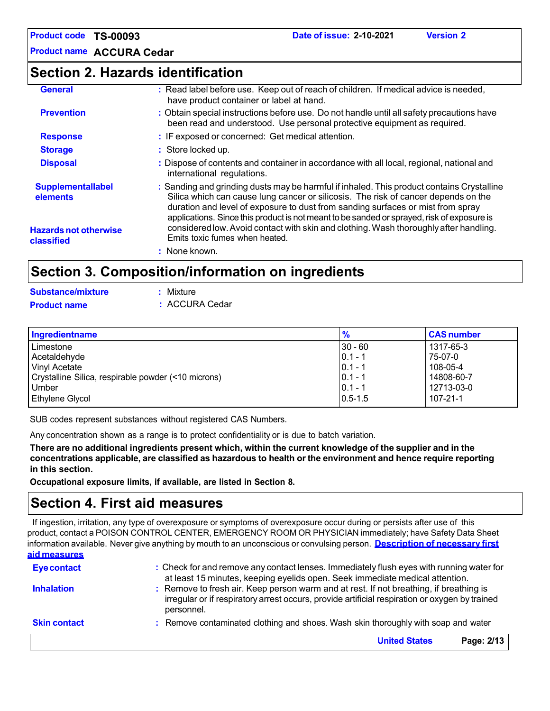**Product name ACCURA Cedar**

## **Section 2. Hazards identification**

| <b>General</b>                             | : Read label before use. Keep out of reach of children. If medical advice is needed,<br>have product container or label at hand.                                                                                                                                                                                                                                 |
|--------------------------------------------|------------------------------------------------------------------------------------------------------------------------------------------------------------------------------------------------------------------------------------------------------------------------------------------------------------------------------------------------------------------|
| <b>Prevention</b>                          | : Obtain special instructions before use. Do not handle until all safety precautions have<br>been read and understood. Use personal protective equipment as required.                                                                                                                                                                                            |
| <b>Response</b>                            | : IF exposed or concerned: Get medical attention.                                                                                                                                                                                                                                                                                                                |
| <b>Storage</b>                             | : Store locked up.                                                                                                                                                                                                                                                                                                                                               |
| <b>Disposal</b>                            | : Dispose of contents and container in accordance with all local, regional, national and<br>international regulations.                                                                                                                                                                                                                                           |
| <b>Supplementallabel</b><br>elements       | : Sanding and grinding dusts may be harmful if inhaled. This product contains Crystalline<br>Silica which can cause lung cancer or silicosis. The risk of cancer depends on the<br>duration and level of exposure to dust from sanding surfaces or mist from spray<br>applications. Since this product is not meant to be sanded or sprayed, risk of exposure is |
| <b>Hazards not otherwise</b><br>classified | considered low. Avoid contact with skin and clothing. Wash thoroughly after handling.<br>Emits toxic fumes when heated.                                                                                                                                                                                                                                          |
|                                            | : None known.                                                                                                                                                                                                                                                                                                                                                    |

# **Section 3. Composition/information on ingredients**

| <b>Substance/mixture</b> | : Mixture      |
|--------------------------|----------------|
| <b>Product name</b>      | : ACCURA Cedar |

| Ingredientname                                      | $\frac{9}{6}$ | <b>CAS number</b> |
|-----------------------------------------------------|---------------|-------------------|
| Limestone                                           | $30 - 60$     | 1317-65-3         |
| Acetaldehyde                                        | $ 0.1 - 1$    | 75-07-0           |
| Vinyl Acetate                                       | $0.1 - 1$     | 108-05-4          |
| Crystalline Silica, respirable powder (<10 microns) | $0.1 - 1$     | 14808-60-7        |
| Umber                                               | $0.1 - 1$     | 12713-03-0        |
| <b>Ethylene Glycol</b>                              | $0.5 - 1.5$   | $107 - 21 - 1$    |

SUB codes represent substances without registered CAS Numbers.

Any concentration shown as a range is to protect confidentiality or is due to batch variation.

There are no additional ingredients present which, within the current knowledge of the supplier and in the **concentrations applicable, are classified as hazardous to health or the environment and hence require reporting in this section.**

**Occupational exposure limits, if available, are listed in Section 8.**

# **Section 4. First aid measures**

If ingestion, irritation, any type of overexposure or symptoms of overexposure occur during or persists after use of this product, contact a POISON CONTROL CENTER, EMERGENCY ROOM OR PHYSICIAN immediately; have Safety Data Sheet information available. Never give anything by mouth to an unconscious or convulsing person. **Description of necessary first aid measures**

| <b>Skin contact</b> | personnel.<br>: Remove contaminated clothing and shoes. Wash skin thoroughly with soap and water                                                                                         |
|---------------------|------------------------------------------------------------------------------------------------------------------------------------------------------------------------------------------|
| <b>Inhalation</b>   | : Remove to fresh air. Keep person warm and at rest. If not breathing, if breathing is<br>irregular or if respiratory arrest occurs, provide artificial respiration or oxygen by trained |
| <b>Eye contact</b>  | : Check for and remove any contact lenses. Immediately flush eyes with running water for<br>at least 15 minutes, keeping eyelids open. Seek immediate medical attention.                 |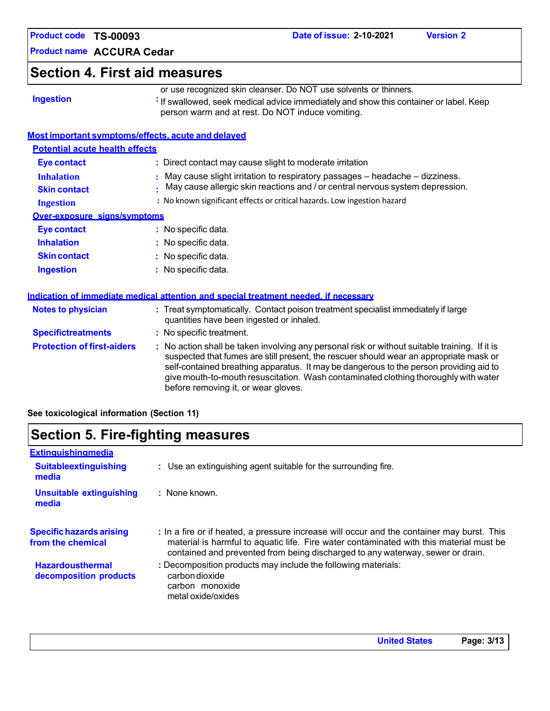| <b>Product code</b> | <b>TS-00093</b> |
|---------------------|-----------------|
|---------------------|-----------------|

## **Section 4. First aid measures**

| <b>Ingestion</b> |  |
|------------------|--|
|                  |  |

or use recognized skin cleanser. Do NOT use solvents or thinners. **If swallowed, seek medical advice immediately and show this container or label. Keep** 

person warm and at rest. Do NOT induce vomiting.

## **Most important symptoms/effects, acute and delayed**

| <b>Potential acute health effects</b>    |                                                                                                                                                              |
|------------------------------------------|--------------------------------------------------------------------------------------------------------------------------------------------------------------|
| <b>Eye contact</b>                       | : Direct contact may cause slight to moderate irritation                                                                                                     |
| <b>Inhalation</b><br><b>Skin contact</b> | May cause slight irritation to respiratory passages – headache – dizziness.<br>May cause allergic skin reactions and / or central nervous system depression. |
| <b>Ingestion</b>                         | : No known significant effects or critical hazards. Low ingestion hazard                                                                                     |
| Over-exposure signs/symptoms             |                                                                                                                                                              |
| Eye contact                              | : No specific data.                                                                                                                                          |
| <b>Inhalation</b>                        | : No specific data.                                                                                                                                          |
| <b>Skin contact</b>                      | $:$ No specific data.                                                                                                                                        |
| <b>Ingestion</b>                         | $:$ No specific data.                                                                                                                                        |

| <u>Muuduvii vi Millieulate Meurcal attentivii anu special treatment neeueu. Milecessarv</u> |                                                                                                                                                                                                                                                                                                                                                                                                                 |
|---------------------------------------------------------------------------------------------|-----------------------------------------------------------------------------------------------------------------------------------------------------------------------------------------------------------------------------------------------------------------------------------------------------------------------------------------------------------------------------------------------------------------|
| <b>Notes to physician</b>                                                                   | : Treat symptomatically. Contact poison treatment specialist immediately if large<br>quantities have been ingested or inhaled.                                                                                                                                                                                                                                                                                  |
| <b>Specifictreatments</b>                                                                   | : No specific treatment.                                                                                                                                                                                                                                                                                                                                                                                        |
| <b>Protection of first-aiders</b>                                                           | : No action shall be taken involving any personal risk or without suitable training. If it is<br>suspected that fumes are still present, the rescuer should wear an appropriate mask or<br>self-contained breathing apparatus. It may be dangerous to the person providing aid to<br>give mouth-to-mouth resuscitation. Wash contaminated clothing thoroughly with water<br>before removing it, or wear gloves. |

**See toxicological information (Section 11)**

#### **Extinguishingmedia Suitableextinguishing media Unsuitable extinguishing media :** Use an extinguishing agent suitable for the surrounding fire. **:** None known. **Specifichazards arising from the chemical Hazardousthermal decomposition products :** In a fire or if heated, a pressure increase will occur and the container may burst. This material is harmful to aquatic life. Fire water contaminated with this material must be contained and prevented from being discharged to any waterway, sewer or drain. **:** Decomposition products may include the following materials: carbondioxide carbon monoxide metal oxide/oxides **Section 5. Fire-fighting measures**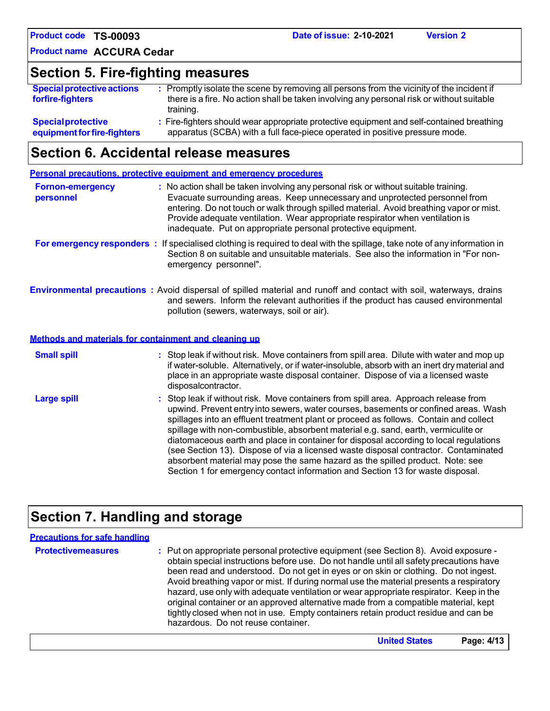**Product name ACCURA Cedar**

## **Section 5. Fire-fighting measures**

| <b>Special protective actions</b><br>forfire-fighters | : Promptly isolate the scene by removing all persons from the vicinity of the incident if<br>there is a fire. No action shall be taken involving any personal risk or without suitable<br>training. |
|-------------------------------------------------------|-----------------------------------------------------------------------------------------------------------------------------------------------------------------------------------------------------|
| <b>Special protective</b>                             | : Fire-fighters should wear appropriate protective equipment and self-contained breathing                                                                                                           |
| equipment for fire-fighters                           | apparatus (SCBA) with a full face-piece operated in positive pressure mode.                                                                                                                         |

## **Section 6. Accidental release measures**

|                                      | <b>Personal precautions, protective equipment and emergency procedures</b>                                                                                                                                                                                                                                                                                                                                                                                                                                                                                                                                                                                                                                   |
|--------------------------------------|--------------------------------------------------------------------------------------------------------------------------------------------------------------------------------------------------------------------------------------------------------------------------------------------------------------------------------------------------------------------------------------------------------------------------------------------------------------------------------------------------------------------------------------------------------------------------------------------------------------------------------------------------------------------------------------------------------------|
| <b>Fornon-emergency</b><br>personnel | : No action shall be taken involving any personal risk or without suitable training.<br>Evacuate surrounding areas. Keep unnecessary and unprotected personnel from<br>entering. Do not touch or walk through spilled material. Avoid breathing vapor or mist.<br>Provide adequate ventilation. Wear appropriate respirator when ventilation is<br>inadequate. Put on appropriate personal protective equipment.                                                                                                                                                                                                                                                                                             |
|                                      | For emergency responders : If specialised clothing is required to deal with the spillage, take note of any information in<br>Section 8 on suitable and unsuitable materials. See also the information in "For non-<br>emergency personnel".                                                                                                                                                                                                                                                                                                                                                                                                                                                                  |
|                                      | <b>Environmental precautions</b> : Avoid dispersal of spilled material and runoff and contact with soil, waterways, drains<br>and sewers. Inform the relevant authorities if the product has caused environmental<br>pollution (sewers, waterways, soil or air).                                                                                                                                                                                                                                                                                                                                                                                                                                             |
|                                      | Methods and materials for containment and cleaning up                                                                                                                                                                                                                                                                                                                                                                                                                                                                                                                                                                                                                                                        |
| <b>Small spill</b>                   | : Stop leak if without risk. Move containers from spill area. Dilute with water and mop up<br>if water-soluble. Alternatively, or if water-insoluble, absorb with an inert dry material and<br>place in an appropriate waste disposal container. Dispose of via a licensed waste<br>disposalcontractor.                                                                                                                                                                                                                                                                                                                                                                                                      |
| <b>Large spill</b>                   | : Stop leak if without risk. Move containers from spill area. Approach release from<br>upwind. Prevent entry into sewers, water courses, basements or confined areas. Wash<br>spillages into an effluent treatment plant or proceed as follows. Contain and collect<br>spillage with non-combustible, absorbent material e.g. sand, earth, vermiculite or<br>diatomaceous earth and place in container for disposal according to local regulations<br>(see Section 13). Dispose of via a licensed waste disposal contractor. Contaminated<br>absorbent material may pose the same hazard as the spilled product. Note: see<br>Section 1 for emergency contact information and Section 13 for waste disposal. |

# **Section 7. Handling and storage**

| <b>Precautions for safe handling</b> |                                                                                                                                                                                                                                                                                                                                                                                                                                                                                                                                                                                                                                                                                |
|--------------------------------------|--------------------------------------------------------------------------------------------------------------------------------------------------------------------------------------------------------------------------------------------------------------------------------------------------------------------------------------------------------------------------------------------------------------------------------------------------------------------------------------------------------------------------------------------------------------------------------------------------------------------------------------------------------------------------------|
| <b>Protectivemeasures</b>            | : Put on appropriate personal protective equipment (see Section 8). Avoid exposure -<br>obtain special instructions before use. Do not handle until all safety precautions have<br>been read and understood. Do not get in eyes or on skin or clothing. Do not ingest.<br>Avoid breathing vapor or mist. If during normal use the material presents a respiratory<br>hazard, use only with adequate ventilation or wear appropriate respirator. Keep in the<br>original container or an approved alternative made from a compatible material, kept<br>tightly closed when not in use. Empty containers retain product residue and can be<br>hazardous. Do not reuse container. |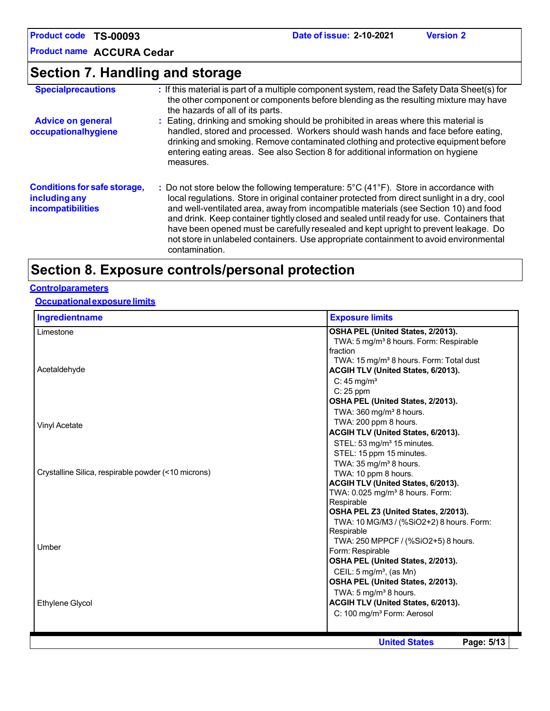**Product name ACCURA Cedar**

| Section 7. Handling and storage                                                  |                                                                                                                                                                                                                                                                                                                                                                                                                                                                                                                                                                                                 |  |  |  |
|----------------------------------------------------------------------------------|-------------------------------------------------------------------------------------------------------------------------------------------------------------------------------------------------------------------------------------------------------------------------------------------------------------------------------------------------------------------------------------------------------------------------------------------------------------------------------------------------------------------------------------------------------------------------------------------------|--|--|--|
| <b>Specialprecautions</b>                                                        | : If this material is part of a multiple component system, read the Safety Data Sheet(s) for<br>the other component or components before blending as the resulting mixture may have<br>the hazards of all of its parts.                                                                                                                                                                                                                                                                                                                                                                         |  |  |  |
| <b>Advice on general</b><br>occupationalhygiene                                  | : Eating, drinking and smoking should be prohibited in areas where this material is<br>handled, stored and processed. Workers should wash hands and face before eating,<br>drinking and smoking. Remove contaminated clothing and protective equipment before<br>entering eating areas. See also Section 8 for additional information on hygiene<br>measures.                                                                                                                                                                                                                                   |  |  |  |
| <b>Conditions for safe storage,</b><br>including any<br><b>incompatibilities</b> | : Do not store below the following temperature: $5^{\circ}$ C (41 $^{\circ}$ F). Store in accordance with<br>local regulations. Store in original container protected from direct sunlight in a dry, cool<br>and well-ventilated area, away from incompatible materials (see Section 10) and food<br>and drink. Keep container tightly closed and sealed until ready for use. Containers that<br>have been opened must be carefully resealed and kept upright to prevent leakage. Do<br>not store in unlabeled containers. Use appropriate containment to avoid environmental<br>contamination. |  |  |  |

# **Section 8. Exposure controls/personal protection**

## **Controlparameters**

## **Occupationalexposurelimits**

| Ingredientname                                      | <b>Exposure limits</b>                                                                    |
|-----------------------------------------------------|-------------------------------------------------------------------------------------------|
| Limestone                                           | OSHA PEL (United States, 2/2013).                                                         |
|                                                     | TWA: 5 mg/m <sup>3</sup> 8 hours. Form: Respirable                                        |
|                                                     | fraction                                                                                  |
| Acetaldehyde                                        | TWA: 15 mg/m <sup>3</sup> 8 hours. Form: Total dust<br>ACGIH TLV (United States, 6/2013). |
|                                                     | C: $45 \text{ mg/m}^3$                                                                    |
|                                                     | C: 25 ppm                                                                                 |
|                                                     | OSHA PEL (United States, 2/2013).                                                         |
|                                                     | TWA: 360 mg/m <sup>3</sup> 8 hours.                                                       |
|                                                     | TWA: 200 ppm 8 hours.                                                                     |
| <b>Vinyl Acetate</b>                                | ACGIH TLV (United States, 6/2013).                                                        |
|                                                     | STEL: 53 mg/m <sup>3</sup> 15 minutes.                                                    |
|                                                     | STEL: 15 ppm 15 minutes.                                                                  |
|                                                     | TWA: $35 \text{ mg/m}^3$ 8 hours.                                                         |
| Crystalline Silica, respirable powder (<10 microns) | TWA: 10 ppm 8 hours.                                                                      |
|                                                     | ACGIH TLV (United States, 6/2013).                                                        |
|                                                     | TWA: 0.025 mg/m <sup>3</sup> 8 hours. Form:                                               |
|                                                     | Respirable                                                                                |
|                                                     | OSHA PEL Z3 (United States, 2/2013).                                                      |
|                                                     | TWA: 10 MG/M3 / (%SiO2+2) 8 hours. Form:                                                  |
|                                                     | Respirable                                                                                |
| Umber                                               | TWA: 250 MPPCF / (%SiO2+5) 8 hours.                                                       |
|                                                     | Form: Respirable<br>OSHA PEL (United States, 2/2013).                                     |
|                                                     | CEIL: $5 \text{ mg/m}^3$ , (as Mn)                                                        |
|                                                     | OSHA PEL (United States, 2/2013).                                                         |
|                                                     | TWA: 5 mg/m <sup>3</sup> 8 hours.                                                         |
|                                                     | ACGIH TLV (United States, 6/2013).                                                        |
| Ethylene Glycol                                     | C: 100 mg/m <sup>3</sup> Form: Aerosol                                                    |
|                                                     |                                                                                           |
|                                                     | Page: 5/13<br><b>United States</b>                                                        |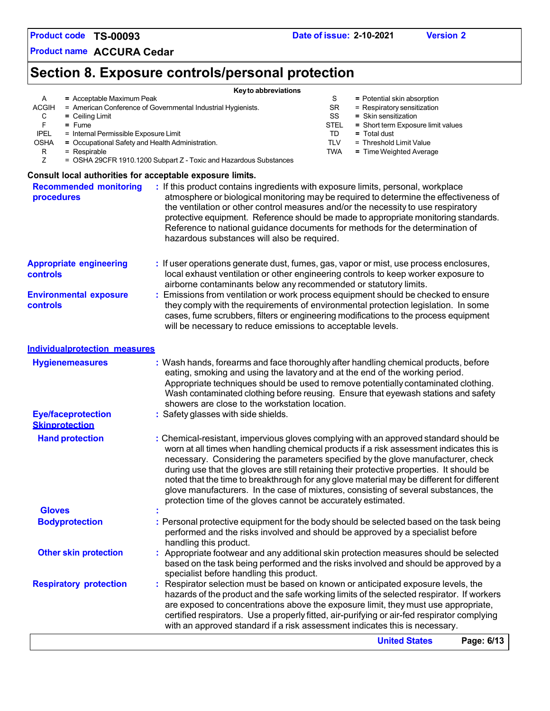**Product name ACCURA Cedar**

# **Section 8. Exposure controls/personal protection**

|                                                                                                                                                     | Key to abbreviations                                                                                                                                                                                                                                                                                                                                                                                                                                                                                                                                                                                                   |                                           |                                                                                                                                            |            |
|-----------------------------------------------------------------------------------------------------------------------------------------------------|------------------------------------------------------------------------------------------------------------------------------------------------------------------------------------------------------------------------------------------------------------------------------------------------------------------------------------------------------------------------------------------------------------------------------------------------------------------------------------------------------------------------------------------------------------------------------------------------------------------------|-------------------------------------------|--------------------------------------------------------------------------------------------------------------------------------------------|------------|
| A<br>$=$ Acceptable Maximum Peak<br><b>ACGIH</b><br>C<br>$=$ Ceiling Limit<br>F<br>$=$ Fume<br><b>IPEL</b><br>= Internal Permissible Exposure Limit | = American Conference of Governmental Industrial Hygienists.                                                                                                                                                                                                                                                                                                                                                                                                                                                                                                                                                           | S<br><b>SR</b><br>SS<br><b>STEL</b><br>TD | = Potential skin absorption<br>= Respiratory sensitization<br>= Skin sensitization<br>= Short term Exposure limit values<br>$=$ Total dust |            |
| <b>OSHA</b><br>= Occupational Safety and Health Administration.<br>$=$ Respirable<br>R                                                              |                                                                                                                                                                                                                                                                                                                                                                                                                                                                                                                                                                                                                        | <b>TLV</b><br><b>TWA</b>                  | = Threshold Limit Value<br>= Time Weighted Average                                                                                         |            |
| Z                                                                                                                                                   | = OSHA 29CFR 1910.1200 Subpart Z - Toxic and Hazardous Substances                                                                                                                                                                                                                                                                                                                                                                                                                                                                                                                                                      |                                           |                                                                                                                                            |            |
| Consult local authorities for acceptable exposure limits.                                                                                           |                                                                                                                                                                                                                                                                                                                                                                                                                                                                                                                                                                                                                        |                                           |                                                                                                                                            |            |
| <b>Recommended monitoring</b><br>procedures                                                                                                         | : If this product contains ingredients with exposure limits, personal, workplace<br>atmosphere or biological monitoring may be required to determine the effectiveness of<br>the ventilation or other control measures and/or the necessity to use respiratory<br>protective equipment. Reference should be made to appropriate monitoring standards.<br>Reference to national guidance documents for methods for the determination of<br>hazardous substances will also be required.                                                                                                                                  |                                           |                                                                                                                                            |            |
| <b>Appropriate engineering</b><br>controls                                                                                                          | : If user operations generate dust, fumes, gas, vapor or mist, use process enclosures,<br>local exhaust ventilation or other engineering controls to keep worker exposure to<br>airborne contaminants below any recommended or statutory limits.                                                                                                                                                                                                                                                                                                                                                                       |                                           |                                                                                                                                            |            |
| <b>Environmental exposure</b><br>controls                                                                                                           | Emissions from ventilation or work process equipment should be checked to ensure<br>they comply with the requirements of environmental protection legislation. In some<br>cases, fume scrubbers, filters or engineering modifications to the process equipment<br>will be necessary to reduce emissions to acceptable levels.                                                                                                                                                                                                                                                                                          |                                           |                                                                                                                                            |            |
| <b>Individualprotection measures</b>                                                                                                                |                                                                                                                                                                                                                                                                                                                                                                                                                                                                                                                                                                                                                        |                                           |                                                                                                                                            |            |
| <b>Hygienemeasures</b>                                                                                                                              | : Wash hands, forearms and face thoroughly after handling chemical products, before<br>eating, smoking and using the lavatory and at the end of the working period.<br>Appropriate techniques should be used to remove potentially contaminated clothing.<br>Wash contaminated clothing before reusing. Ensure that eyewash stations and safety<br>showers are close to the workstation location.                                                                                                                                                                                                                      |                                           |                                                                                                                                            |            |
| <b>Eye/faceprotection</b><br><b>Skinprotection</b>                                                                                                  | : Safety glasses with side shields.                                                                                                                                                                                                                                                                                                                                                                                                                                                                                                                                                                                    |                                           |                                                                                                                                            |            |
| <b>Hand protection</b>                                                                                                                              | : Chemical-resistant, impervious gloves complying with an approved standard should be<br>worn at all times when handling chemical products if a risk assessment indicates this is<br>necessary. Considering the parameters specified by the glove manufacturer, check<br>during use that the gloves are still retaining their protective properties. It should be<br>noted that the time to breakthrough for any glove material may be different for different<br>glove manufacturers. In the case of mixtures, consisting of several substances, the<br>protection time of the gloves cannot be accurately estimated. |                                           |                                                                                                                                            |            |
| <b>Gloves</b>                                                                                                                                       |                                                                                                                                                                                                                                                                                                                                                                                                                                                                                                                                                                                                                        |                                           |                                                                                                                                            |            |
| <b>Bodyprotection</b>                                                                                                                               | : Personal protective equipment for the body should be selected based on the task being<br>performed and the risks involved and should be approved by a specialist before<br>handling this product.                                                                                                                                                                                                                                                                                                                                                                                                                    |                                           |                                                                                                                                            |            |
| <b>Other skin protection</b>                                                                                                                        | Appropriate footwear and any additional skin protection measures should be selected<br>based on the task being performed and the risks involved and should be approved by a<br>specialist before handling this product.                                                                                                                                                                                                                                                                                                                                                                                                |                                           |                                                                                                                                            |            |
| <b>Respiratory protection</b>                                                                                                                       | Respirator selection must be based on known or anticipated exposure levels, the<br>hazards of the product and the safe working limits of the selected respirator. If workers<br>are exposed to concentrations above the exposure limit, they must use appropriate,<br>certified respirators. Use a properly fitted, air-purifying or air-fed respirator complying<br>with an approved standard if a risk assessment indicates this is necessary.                                                                                                                                                                       |                                           |                                                                                                                                            |            |
|                                                                                                                                                     |                                                                                                                                                                                                                                                                                                                                                                                                                                                                                                                                                                                                                        |                                           | <b>United States</b>                                                                                                                       | Page: 6/13 |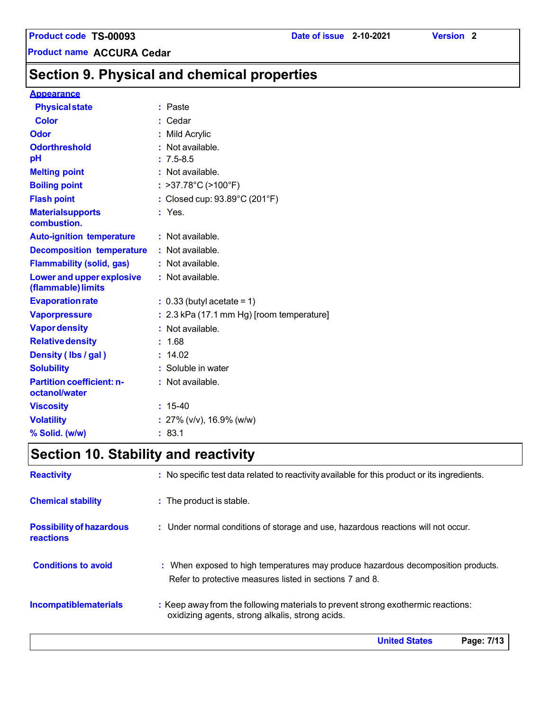# **Section 9. Physical and chemical properties**

#### **Appearance**

| <b>Physical state</b>                                  | : Paste                                     |
|--------------------------------------------------------|---------------------------------------------|
| <b>Color</b>                                           | : Cedar                                     |
| Odor                                                   | : Mild Acrylic                              |
| <b>Odorthreshold</b>                                   | Not available.                              |
| pH                                                     | $: 7.5 - 8.5$                               |
| <b>Melting point</b>                                   | : Not available.                            |
| <b>Boiling point</b>                                   | : $>37.78^{\circ}C$ ( $>100^{\circ}F$ )     |
| <b>Flash point</b>                                     | : Closed cup: 93.89°C (201°F)               |
| <b>Materialsupports</b><br>combustion.                 | : Yes.                                      |
| <b>Auto-ignition temperature</b>                       | : Not available.                            |
| <b>Decomposition temperature</b>                       | : Not available.                            |
| <b>Flammability (solid, gas)</b>                       | : Not available.                            |
| <b>Lower and upper explosive</b><br>(flammable) limits | : Not available.                            |
| <b>Evaporation rate</b>                                | $: 0.33$ (butyl acetate = 1)                |
| <b>Vaporpressure</b>                                   | $: 2.3$ kPa (17.1 mm Hg) [room temperature] |
| <b>Vapor density</b>                                   | : Not available.                            |
| <b>Relative density</b>                                | : 1.68                                      |
| Density (Ibs / gal)                                    | : 14.02                                     |
| <b>Solubility</b>                                      | : Soluble in water                          |
| <b>Partition coefficient: n-</b><br>octanol/water      | : Not available.                            |
| <b>Viscosity</b>                                       | $: 15-40$                                   |
| <b>Volatility</b>                                      | : $27\%$ (v/v), 16.9% (w/w)                 |
| % Solid. (w/w)                                         | : 83.1                                      |

# **Section 10. Stability and reactivity**

| <b>Reactivity</b>                                   | : No specific test data related to reactivity available for this product or its ingredients.                                                  |
|-----------------------------------------------------|-----------------------------------------------------------------------------------------------------------------------------------------------|
| <b>Chemical stability</b>                           | : The product is stable.                                                                                                                      |
| <b>Possibility of hazardous</b><br><b>reactions</b> | : Under normal conditions of storage and use, hazardous reactions will not occur.                                                             |
| <b>Conditions to avoid</b>                          | : When exposed to high temperatures may produce hazardous decomposition products.<br>Refer to protective measures listed in sections 7 and 8. |
| <b>Incompatiblematerials</b>                        | : Keep away from the following materials to prevent strong exothermic reactions:<br>oxidizing agents, strong alkalis, strong acids.           |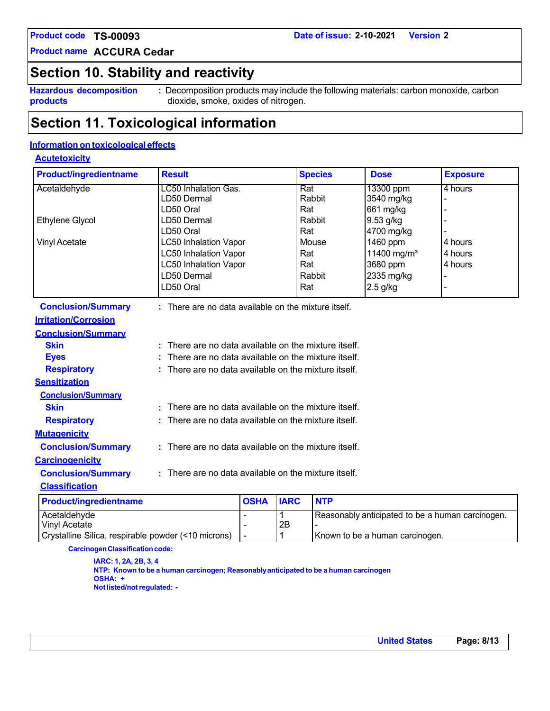**Product name ACCURA Cedar**

## **Section 10. Stability and reactivity**

**Hazardous decomposition products**

**:** Decomposition products may include the following materials: carbon monoxide, carbon dioxide, smoke, oxides of nitrogen.

## **Section 11. Toxicological information**

## **Information on toxicological effects**

## **Acutetoxicity**

| <b>Product/ingredientname</b> | <b>Result</b>                                            |                                                    |             | <b>Species</b> | <b>Dose</b>             | <b>Exposure</b> |
|-------------------------------|----------------------------------------------------------|----------------------------------------------------|-------------|----------------|-------------------------|-----------------|
| Acetaldehyde                  | LC50 Inhalation Gas.                                     |                                                    | Rat         |                | 13300 ppm               | 4 hours         |
|                               | LD50 Dermal                                              |                                                    |             | Rabbit         | 3540 mg/kg              |                 |
|                               | LD50 Oral                                                |                                                    | Rat         |                | 661 mg/kg               |                 |
| Ethylene Glycol               | LD50 Dermal                                              |                                                    |             | Rabbit         | 9.53 g/kg               |                 |
|                               | LD50 Oral                                                |                                                    | Rat         |                | 4700 mg/kg              |                 |
| <b>Vinyl Acetate</b>          | <b>LC50 Inhalation Vapor</b>                             |                                                    |             | Mouse          | 1460 ppm                | 4 hours         |
|                               | <b>LC50 Inhalation Vapor</b>                             |                                                    | Rat         |                | 11400 mg/m <sup>3</sup> | 4 hours         |
|                               | LC50 Inhalation Vapor                                    |                                                    | Rat         |                | 3680 ppm                | 4 hours         |
|                               | LD50 Dermal                                              |                                                    |             | Rabbit         | 2335 mg/kg              |                 |
|                               | LD50 Oral                                                |                                                    | Rat         |                | $2.5$ g/kg              |                 |
| <b>Conclusion/Summary</b>     | : There are no data available on the mixture itself.     |                                                    |             |                |                         |                 |
| <b>Irritation/Corrosion</b>   |                                                          |                                                    |             |                |                         |                 |
| <b>Conclusion/Summary</b>     |                                                          |                                                    |             |                |                         |                 |
| <b>Skin</b>                   | There are no data available on the mixture itself.       |                                                    |             |                |                         |                 |
| <b>Eyes</b>                   | There are no data available on the mixture itself.       |                                                    |             |                |                         |                 |
| <b>Respiratory</b>            |                                                          | There are no data available on the mixture itself. |             |                |                         |                 |
| <b>Sensitization</b>          |                                                          |                                                    |             |                |                         |                 |
| <b>Conclusion/Summary</b>     |                                                          |                                                    |             |                |                         |                 |
| <b>Skin</b>                   | There are no data available on the mixture itself.<br>ŧ. |                                                    |             |                |                         |                 |
| <b>Respiratory</b>            | There are no data available on the mixture itself.       |                                                    |             |                |                         |                 |
| <b>Mutagenicity</b>           |                                                          |                                                    |             |                |                         |                 |
| <b>Conclusion/Summary</b>     | $:$ There are no data available on the mixture itself.   |                                                    |             |                |                         |                 |
| <b>Carcinogenicity</b>        |                                                          |                                                    |             |                |                         |                 |
| <b>Conclusion/Summary</b>     | : There are no data available on the mixture itself.     |                                                    |             |                |                         |                 |
| <b>Classification</b>         |                                                          |                                                    |             |                |                         |                 |
| <b>Product/ingredientname</b> |                                                          | <b>OSHA</b>                                        | <b>IARC</b> | <b>NTP</b>     |                         |                 |

| <b>Product/Ingredienthame</b>                       | IUSHA IIARU |    | INIP                                             |
|-----------------------------------------------------|-------------|----|--------------------------------------------------|
| Acetaldehyde                                        |             |    | Reasonably anticipated to be a human carcinogen. |
| Vinyl Acetate                                       |             | 2E |                                                  |
| Crystalline Silica, respirable powder (<10 microns) |             |    | Known to be a human carcinogen.                  |
|                                                     |             |    |                                                  |

**CarcinogenClassificationcode:**

**IARC: 1, 2A, 2B, 3, 4 NTP: Known to be a human carcinogen; Reasonablyanticipated to be a human carcinogen OSHA: + Notlisted/notregulated: -**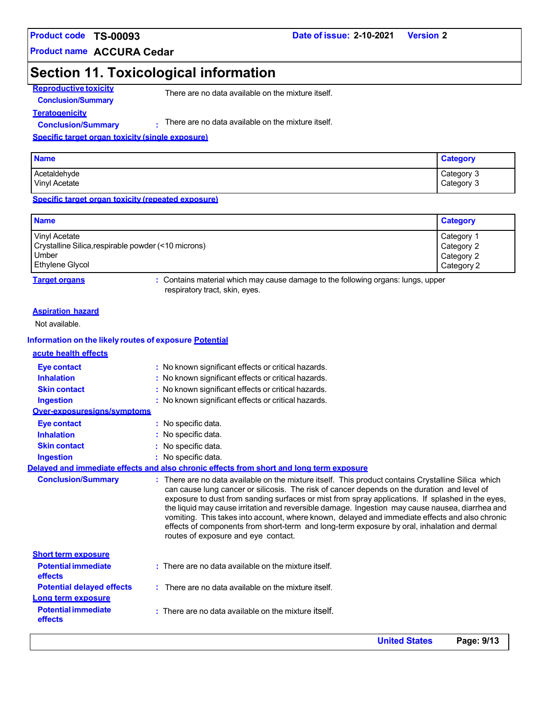**Product name ACCURA Cedar**

# **Section 11. Toxicological information**

**Reproductive toxicity Conclusion/Summary**

There are no data available on the mixture itself.

**Teratogenicity Conclusion/Summary :**

There are no data available on the mixture itself.

**Specific target organ toxicity (single exposure)**

| <b>Name</b>                          | <b>Category</b>          |
|--------------------------------------|--------------------------|
| Acetaldehyde<br><b>Vinyl Acetate</b> | Category 3<br>Category 3 |

**Specific target organ toxicity (repeated exposure)**

| <b>Name</b>                                         | <b>Category</b> |
|-----------------------------------------------------|-----------------|
| Vinyl Acetate                                       | Category 1      |
| Crystalline Silica, respirable powder (<10 microns) | Category 2      |
| Umber                                               | Category 2      |
| Ethylene Glycol                                     | Category 2      |

**Target organs :** Contains material which may cause damage to the following organs: lungs, upper respiratory tract, skin, eyes.

#### **Aspiration hazard**

Not available.

#### **Information on the likely routes of exposure Potential**

| acute health effects                  |                                                                                                                                                                                                                                                                                                                                                                                                                                                                                                                                                                                                                                                   |
|---------------------------------------|---------------------------------------------------------------------------------------------------------------------------------------------------------------------------------------------------------------------------------------------------------------------------------------------------------------------------------------------------------------------------------------------------------------------------------------------------------------------------------------------------------------------------------------------------------------------------------------------------------------------------------------------------|
| Eye contact                           | : No known significant effects or critical hazards.                                                                                                                                                                                                                                                                                                                                                                                                                                                                                                                                                                                               |
| <b>Inhalation</b>                     | : No known significant effects or critical hazards.                                                                                                                                                                                                                                                                                                                                                                                                                                                                                                                                                                                               |
| <b>Skin contact</b>                   | : No known significant effects or critical hazards.                                                                                                                                                                                                                                                                                                                                                                                                                                                                                                                                                                                               |
| Ingestion                             | : No known significant effects or critical hazards.                                                                                                                                                                                                                                                                                                                                                                                                                                                                                                                                                                                               |
| Over-exposuresigns/symptoms           |                                                                                                                                                                                                                                                                                                                                                                                                                                                                                                                                                                                                                                                   |
| Eye contact                           | : No specific data.                                                                                                                                                                                                                                                                                                                                                                                                                                                                                                                                                                                                                               |
| <b>Inhalation</b>                     | : No specific data.                                                                                                                                                                                                                                                                                                                                                                                                                                                                                                                                                                                                                               |
| <b>Skin contact</b>                   | : No specific data.                                                                                                                                                                                                                                                                                                                                                                                                                                                                                                                                                                                                                               |
| <b>Ingestion</b>                      | : No specific data.                                                                                                                                                                                                                                                                                                                                                                                                                                                                                                                                                                                                                               |
|                                       | Delaved and immediate effects and also chronic effects from short and long term exposure                                                                                                                                                                                                                                                                                                                                                                                                                                                                                                                                                          |
| <b>Conclusion/Summary</b>             | : There are no data available on the mixture itself. This product contains Crystalline Silica which<br>can cause lung cancer or silicosis. The risk of cancer depends on the duration and level of<br>exposure to dust from sanding surfaces or mist from spray applications. If splashed in the eyes,<br>the liquid may cause irritation and reversible damage. Ingestion may cause nausea, diarrhea and<br>vomiting. This takes into account, where known, delayed and immediate effects and also chronic<br>effects of components from short-term and long-term exposure by oral, inhalation and dermal<br>routes of exposure and eye contact. |
| <b>Short term exposure</b>            |                                                                                                                                                                                                                                                                                                                                                                                                                                                                                                                                                                                                                                                   |
| <b>Potential immediate</b><br>effects | $:$ There are no data available on the mixture itself.                                                                                                                                                                                                                                                                                                                                                                                                                                                                                                                                                                                            |
| <b>Potential delayed effects</b>      | $\therefore$ There are no data available on the mixture itself.                                                                                                                                                                                                                                                                                                                                                                                                                                                                                                                                                                                   |
| Long term exposure                    |                                                                                                                                                                                                                                                                                                                                                                                                                                                                                                                                                                                                                                                   |
| <b>Potential immediate</b><br>effects | $:$ There are no data available on the mixture itself.                                                                                                                                                                                                                                                                                                                                                                                                                                                                                                                                                                                            |
|                                       |                                                                                                                                                                                                                                                                                                                                                                                                                                                                                                                                                                                                                                                   |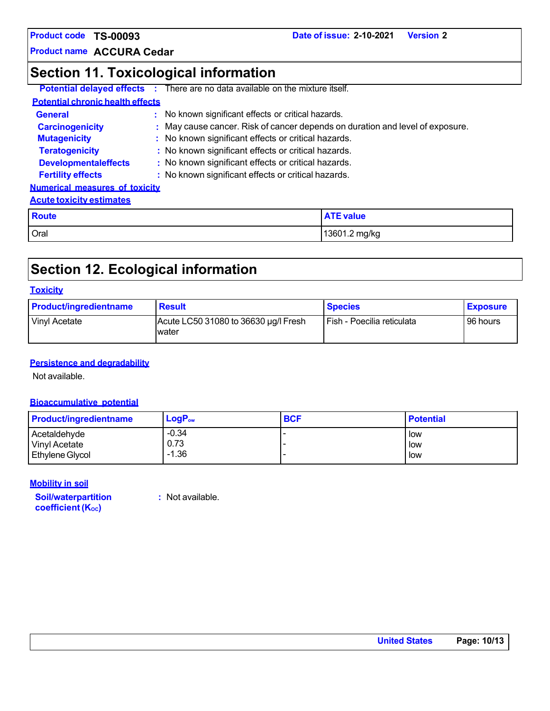**Product name ACCURA Cedar**

# **Section 11. Toxicological information**

|                                         | <b>Potential delayed effects</b> : There are no data available on the mixture itself. |
|-----------------------------------------|---------------------------------------------------------------------------------------|
| <b>Potential chronic health effects</b> |                                                                                       |
| <b>General</b>                          | : No known significant effects or critical hazards.                                   |
| <b>Carcinogenicity</b>                  | : May cause cancer. Risk of cancer depends on duration and level of exposure.         |
| <b>Mutagenicity</b>                     | : No known significant effects or critical hazards.                                   |
| <b>Teratogenicity</b>                   | : No known significant effects or critical hazards.                                   |
| <b>Developmentaleffects</b>             | : No known significant effects or critical hazards.                                   |
| <b>Fertility effects</b>                | : No known significant effects or critical hazards.                                   |
| <b>Numerical measures of toxicity</b>   |                                                                                       |
| <b>Acute toxicity estimates</b>         |                                                                                       |
| <b>Douto</b>                            | <b>ATE value</b>                                                                      |

| Route | <b>TE value</b> |
|-------|-----------------|
| Oral  | 13601.2 mg/kg   |

# **Section 12. Ecological information**

### **Toxicity**

| <b>Product/ingredientname</b> | <b>Result</b>                                 | <b>Species</b>             | <b>Exposure</b> |
|-------------------------------|-----------------------------------------------|----------------------------|-----------------|
| Vinyl Acetate                 | Acute LC50 31080 to 36630 µg/l Fresh<br>water | Fish - Poecilia reticulata | 96 hours        |

### **Persistence and degradability**

Not available.

## **Bioaccumulative potential**

| <b>Product/ingredientname</b> | $LogP_{ow}$ | <b>BCF</b> | <b>Potential</b> |
|-------------------------------|-------------|------------|------------------|
| Acetaldehyde                  | $-0.34$     |            | l low            |
| Vinyl Acetate                 | 0.73        |            | low              |
| <b>Ethylene Glycol</b>        | $-1.36$     |            | l low            |

#### **Mobility in soil**

**Soil/waterpartition coefficient** (Koc)

**:** Not available.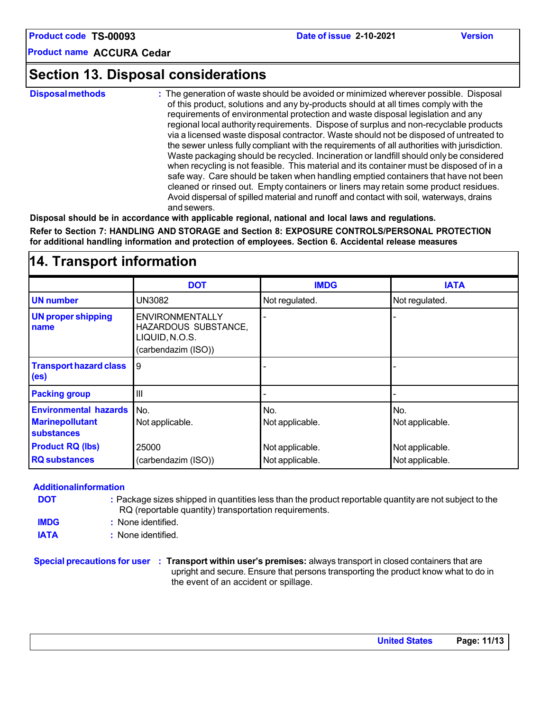## **Section 13. Disposal considerations**

**Disposalmethods :** The generation of waste should be avoided or minimized wherever possible. Disposal of this product, solutions and any by-products should at all times comply with the requirements of environmental protection and waste disposal legislation and any regional local authorityrequirements. Dispose of surplus and non-recyclable products via a licensed waste disposal contractor. Waste should not be disposed of untreated to the sewer unless fully compliant with the requirements of all authorities with jurisdiction. Waste packaging should be recycled. Incineration or landfill should only be considered when recycling is not feasible. This material and its container must be disposed of in a safe way. Care should be taken when handling emptied containers that have not been cleaned or rinsed out. Empty containers or liners may retain some product residues. Avoid dispersal of spilled material and runoff and contact with soil, waterways, drains and sewers.

**Disposal should be in accordance with applicable regional, national and local laws and regulations. Refer to Section 7: HANDLING AND STORAGE and Section 8: EXPOSURE CONTROLS/PERSONAL PROTECTION for additional handling information and protection of employees. Section 6. Accidental release measures**

| 14. Transport information                                                   |                                                                                         |                        |                        |  |
|-----------------------------------------------------------------------------|-----------------------------------------------------------------------------------------|------------------------|------------------------|--|
|                                                                             | <b>DOT</b>                                                                              | <b>IMDG</b>            | <b>IATA</b>            |  |
| <b>UN number</b>                                                            | UN3082                                                                                  | Not regulated.         | Not regulated.         |  |
| <b>UN proper shipping</b><br>name                                           | <b>ENVIRONMENTALLY</b><br>HAZARDOUS SUBSTANCE,<br>LIQUID, N.O.S.<br>(carbendazim (ISO)) |                        |                        |  |
| <b>Transport hazard class</b><br>(e <sub>s</sub> )                          | 9                                                                                       |                        |                        |  |
| <b>Packing group</b>                                                        | III                                                                                     |                        |                        |  |
| <b>Environmental hazards</b><br><b>Marinepollutant</b><br><b>substances</b> | No.<br>Not applicable.                                                                  | No.<br>Not applicable. | No.<br>Not applicable. |  |
| <b>Product RQ (lbs)</b>                                                     | 25000                                                                                   | Not applicable.        | Not applicable.        |  |
| <b>RQ</b> substances                                                        | (carbendazim (ISO))                                                                     | Not applicable.        | Not applicable.        |  |

#### **Additionalinformation**

| <b>DOT</b> | : Package sizes shipped in quantities less than the product reportable quantity are not subject to the |
|------------|--------------------------------------------------------------------------------------------------------|
|            | RQ (reportable quantity) transportation requirements.                                                  |

**IMDG :** None identified.

**IATA :** None identified.

#### **Special precautions for user : Transport within user's premises:** always transport in closed containers that are upright and secure. Ensure that persons transporting the product know what to do in the event of an accident or spillage.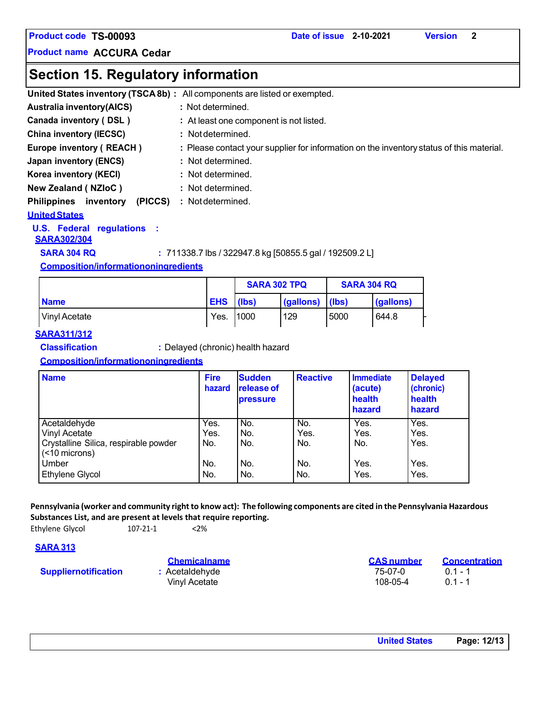## **Section 15. Regulatory information**

|                                            | United States inventory (TSCA8b) : All components are listed or exempted.                |
|--------------------------------------------|------------------------------------------------------------------------------------------|
| <b>Australia inventory(AICS)</b>           | : Not determined.                                                                        |
| Canada inventory (DSL)                     | : At least one component is not listed.                                                  |
| <b>China inventory (IECSC)</b>             | : Not determined.                                                                        |
| Europe inventory (REACH)                   | : Please contact your supplier for information on the inventory status of this material. |
| Japan inventory (ENCS)                     | : Not determined.                                                                        |
| Korea inventory (KECI)                     | : Not determined.                                                                        |
| <b>New Zealand (NZIoC)</b>                 | : Not determined.                                                                        |
| <b>Philippines</b><br>(PICCS)<br>inventory | : Not determined.                                                                        |
| <b>United States</b>                       |                                                                                          |

#### **U.S. Federal regulations :**

#### **SARA302/304**

**SARA 304 RQ :** 711338.7 lbs / 322947.8 kg [50855.5 gal / 192509.2 L]

## **Composition/informationoningredients**

|               |            | <b>SARA 302 TPQ</b> |           | <b>SARA 304 RQ</b> |           |
|---------------|------------|---------------------|-----------|--------------------|-----------|
| <b>Name</b>   | <b>EHS</b> | (lbs)               | (gallons) | llbs)              | (gallons) |
| Vinyl Acetate | Yes.       | 11000               | 129       | 5000               | 644.8     |

### **SARA311/312**

**Classification :** Delayed (chronic) health hazard

### **Composition/informationoningredients**

| <b>Name</b>                                            | <b>Fire</b><br>hazard | <b>Sudden</b><br><b>release of</b><br><b>pressure</b> | <b>Reactive</b> | <b>Immediate</b><br>(acute)<br>health<br>hazard | <b>Delayed</b><br>(chronic)<br>health<br>hazard |
|--------------------------------------------------------|-----------------------|-------------------------------------------------------|-----------------|-------------------------------------------------|-------------------------------------------------|
| Acetaldehyde                                           | Yes.                  | No.                                                   | No.             | Yes.                                            | Yes.                                            |
| Vinyl Acetate                                          | Yes.                  | No.                                                   | Yes.            | Yes.                                            | Yes.                                            |
| Crystalline Silica, respirable powder<br>(<10 microns) | No.                   | No.                                                   | No.             | No.                                             | Yes.                                            |
| Umber                                                  | No.                   | No.                                                   | No.             | Yes.                                            | Yes.                                            |
| <b>Ethylene Glycol</b>                                 | No.                   | No.                                                   | No.             | Yes.                                            | Yes.                                            |

### Pennsylvania (worker and community right to know act): The following components are cited in the Pennsylvania Hazardous **Substances List, and are present at levels that require reporting.**

Ethylene Glycol 107-21-1 <2%

### **SARA 313**

**Suppliernotification :** Acetaldehyde

Vinyl Acetate

| <b>Chemicalname</b> | <b>CAS</b> number | <b>Concentration</b> |
|---------------------|-------------------|----------------------|
| Acetaldehyde        | 75-07-0           | $01 - 1$             |
| Vinyl Acetate       | 108-05-4          | $01 - 1$             |